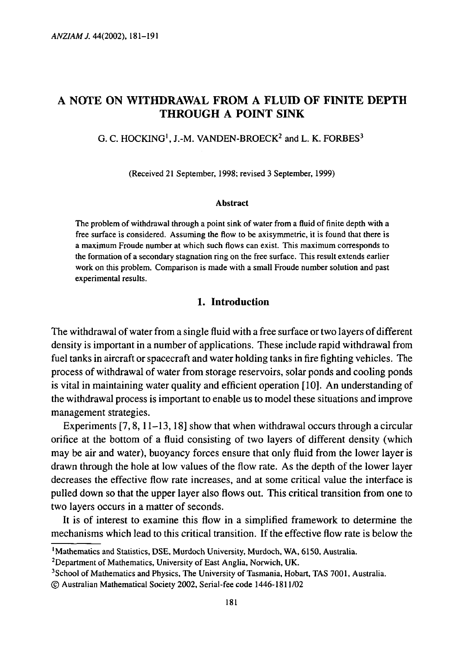# A NOTE ON WITHDRAWAL FROM A FLUID OF FINITE DEPTH THROUGH A POINT SINK

G. C. HOCKING<sup>1</sup>, J.-M. VANDEN-BROECK<sup>2</sup> and L. K. FORBES<sup>3</sup>

(Received 21 September, 1998; revised 3 September, 1999)

#### Abstract

The problem of withdrawal through a point sink of water from a fluid of finite depth with a free surface is considered. Assuming the flow to be axisymmetric, it is found that there is a maximum Froude number at which such flows can exist. This maximum corresponds to the formation of a secondary stagnation ring on the free surface. This result extends earlier work on this problem. Comparison is made with a small Froude number solution and past experimental results.

## **1. Introduction**

The withdrawal of water from a single fluid with a free surface or two layers of different density is important in a number of applications. These include rapid withdrawal from fuel tanks in aircraft or spacecraft and water holding tanks in fire fighting vehicles. The process of withdrawal of water from storage reservoirs, solar ponds and cooling ponds is vital in maintaining water quality and efficient operation [10]. An understanding of the withdrawal process is important to enable us to model these situations and improve management strategies.

Experiments [7,8,11-13,18] show that when withdrawal occurs through a circular orifice at the bottom of a fluid consisting of two layers of different density (which may be air and water), buoyancy forces ensure that only fluid from the lower layer is drawn through the hole at low values of the flow rate. As the depth of the lower layer decreases the effective flow rate increases, and at some critical value the interface is pulled down so that the upper layer also flows out. This critical transition from one to two layers occurs in a matter of seconds.

It is of interest to examine this flow in a simplified framework to determine the mechanisms which lead to this critical transition. If the effective flow rate is below the

<sup>&#</sup>x27;Mathematics and Statistics, DSE, Murdoch University, Murdoch, WA, 6150, Australia.

<sup>&</sup>lt;sup>2</sup>Department of Mathematics, University of East Anglia, Norwich, UK.

<sup>&</sup>lt;sup>3</sup>School of Mathematics and Physics, The University of Tasmania, Hobart, TAS 7001, Australia.

<sup>©</sup> Australian Mathematical Society 2002, Serial-fee code 1446-1811/02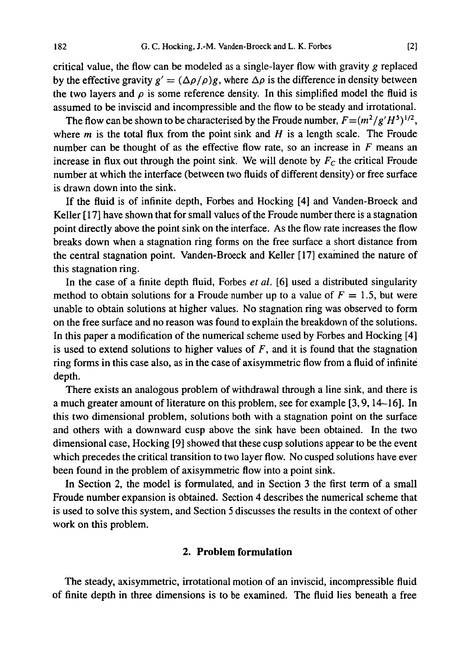critical value, the flow can be modeled as a single-layer flow with gravity *g* replaced by the effective gravity  $g' = (\Delta \rho / \rho)g$ , where  $\Delta \rho$  is the difference in density between the two layers and  $\rho$  is some reference density. In this simplified model the fluid is assumed to be inviscid and incompressible and the flow to be steady and irrotational.

The flow can be shown to be characterised by the Froude number,  $F = (m^2/g'H^5)^{1/2}$ , where *m* is the total flux from the point sink and *H* is a length scale. The Froude number can be thought of as the effective flow rate, so an increase in *F* means an increase in flux out through the point sink. We will denote by  $F_c$  the critical Froude number at which the interface (between two fluids of different density) or free surface is drawn down into the sink.

If the fluid is of infinite depth, Forbes and Hocking [4] and Vanden-Broeck and Keller [17] have shown that for small values of the Froude number there is a stagnation point directly above the point sink on the interface. As the flow rate increases the flow breaks down when a stagnation ring forms on the free surface a short distance from the central stagnation point. Vanden-Broeck and Keller [17] examined the nature of this stagnation ring.

In the case of a finite depth fluid, Forbes *et al.* [6] used a distributed singularity method to obtain solutions for a Froude number up to a value of  $F = 1.5$ , but were unable to obtain solutions at higher values. No stagnation ring was observed to form on the free surface and no reason was found to explain the breakdown of the solutions. In this paper a modification of the numerical scheme used by Forbes and Hocking [4] is used to extend solutions to higher values of *F,* and it is found that the stagnation ring forms in this case also, as in the case of axisymmetric flow from a fluid of infinite depth.

There exists an analogous problem of withdrawal through a line sink, and there is a much greater amount of literature on this problem, see for example [3,9,14-16]. In this two dimensional problem, solutions both with a stagnation point on the surface and others with a downward cusp above the sink have been obtained. In the two dimensional case, Hocking [9] showed that these cusp solutions appear to be the event which precedes the critical transition to two layer flow. No cusped solutions have ever been found in the problem of axisymmetric flow into a point sink.

In Section 2, the model is formulated, and in Section 3 the first term of a small Froude number expansion is obtained. Section 4 describes the numerical scheme that is used to solve this system, and Section 5 discusses the results in the context of other work on this problem.

### **2. Problem formulation**

The steady, axisymmetric, irrotational motion of an inviscid, incompressible fluid of finite depth in three dimensions is to be examined. The fluid lies beneath a free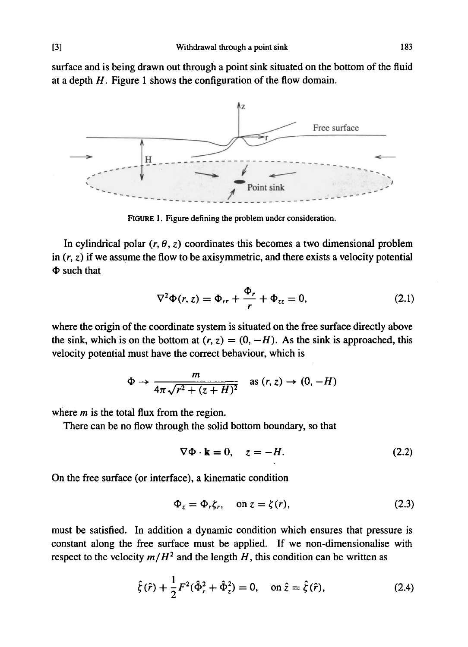surface and is being drawn out through a point sink situated on the bottom of the fluid at a depth *H.* Figure 1 shows the configuration of the flow domain.



FIGURE 1. Figure defining the problem under consideration.

In cylindrical polar  $(r, \theta, z)$  coordinates this becomes a two dimensional problem in  $(r, z)$  if we assume the flow to be axisymmetric, and there exists a velocity potential  $\Phi$  such that

$$
\nabla^2 \Phi(r, z) = \Phi_{rr} + \frac{\Phi_r}{r} + \Phi_{zz} = 0, \qquad (2.1)
$$

where the origin of the coordinate system is situated on the free surface directly above the sink, which is on the bottom at  $(r, z) = (0, -H)$ . As the sink is approached, this velocity potential must have the correct behaviour, which is

$$
\Phi \to \frac{m}{4\pi\sqrt{r^2 + (z+H)^2}} \quad \text{as } (r, z) \to (0, -H)
$$

where *m* is the total flux from the region.

There can be no flow through the solid bottom boundary, so that

$$
\nabla \Phi \cdot \mathbf{k} = 0, \quad z = -H. \tag{2.2}
$$

On the free surface (or interface), a kinematic condition

$$
\Phi_z = \Phi_r \zeta_r, \quad \text{on } z = \zeta(r), \tag{2.3}
$$

must be satisfied. In addition a dynamic condition which ensures that pressure is constant along the free surface must be applied. If we non-dimensionalise with respect to the velocity  $m/H^2$  and the length  $H$ , this condition can be written as

$$
\hat{\zeta}(\hat{r}) + \frac{1}{2}F^2(\hat{\Phi}_r^2 + \hat{\Phi}_z^2) = 0, \quad \text{on } \hat{z} = \hat{\zeta}(\hat{r}), \tag{2.4}
$$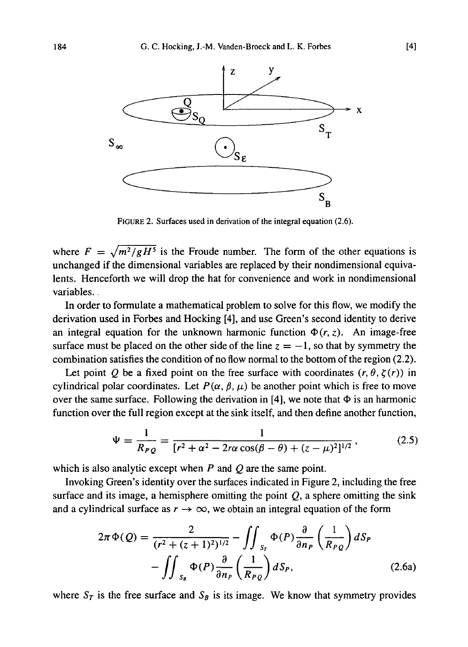

FIGURE 2. Surfaces used in derivation of the integral equation (2.6).

where  $F = \sqrt{m^2/gH^5}$  is the Froude number. The form of the other equations is unchanged if the dimensional variables are replaced by their nondimensional equivalents. Henceforth we will drop the hat for convenience and work in nondimensional variables..

In order to formulate a mathematical problem to solve for this flow, we modify the derivation used in Forbes and Hocking [4], and use Green's second identity to derive an integral equation for the unknown harmonic function  $\Phi(r, z)$ . An image-free surface must be placed on the other side of the line  $z = -1$ , so that by symmetry the combination satisfies the condition of no flow normal to the bottom of the region (2.2).

Let point *Q* be a fixed point on the free surface with coordinates  $(r, \theta, \zeta(r))$  in cylindrical polar coordinates. Let  $P(\alpha, \beta, \mu)$  be another point which is free to move over the same surface. Following the derivation in [4], we note that  $\Phi$  is an harmonic function over the full region except at the sink itself, and then define another function,

$$
\Psi = \frac{1}{R_{PQ}} = \frac{1}{[r^2 + \alpha^2 - 2r\alpha \cos(\beta - \theta) + (z - \mu)^2]^{1/2}},
$$
(2.5)

which is also analytic except when *P* and *Q* are the same point.

Invoking Green's identity over the surfaces indicated in Figure 2, including the free surface and its image, a hemisphere omitting the point  $Q$ , a sphere omitting the sink and a cylindrical surface as  $r \rightarrow \infty$ , we obtain an integral equation of the form

$$
2\pi \Phi(Q) = \frac{2}{(r^2 + (z+1)^2)^{1/2}} - \iint_{S_r} \Phi(P) \frac{\partial}{\partial n_P} \left(\frac{1}{R_{PQ}}\right) dS_P
$$

$$
- \iint_{S_B} \Phi(P) \frac{\partial}{\partial n_P} \left(\frac{1}{R_{PQ}}\right) dS_P, \tag{2.6a}
$$
  
where  $S_T$  is the free surface and  $S_B$  is its image. We know that symmetry provides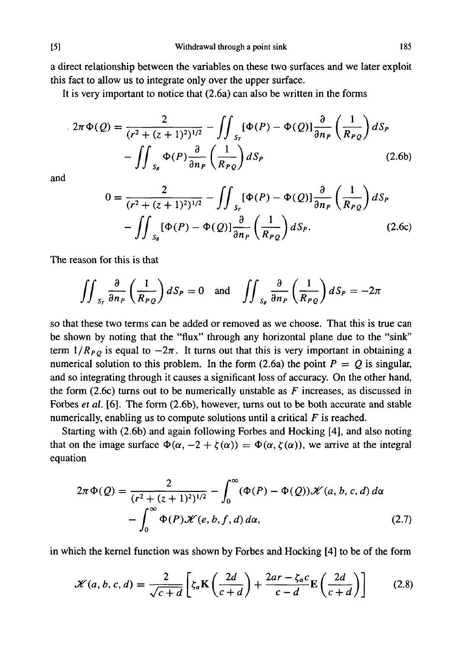a direct relationship between the variables on these two surfaces and we later exploit this fact to allow us to integrate only over the upper surface.

It is very important to notice that (2.6a) can also be written in the forms

$$
2\pi \Phi(Q) = \frac{2}{(r^2 + (z+1)^2)^{1/2}} - \iint_{S_r} [\Phi(P) - \Phi(Q)] \frac{\partial}{\partial n_P} \left(\frac{1}{R_{PQ}}\right) dS_P
$$

$$
- \iint_{S_B} \Phi(P) \frac{\partial}{\partial n_P} \left(\frac{1}{R_{PQ}}\right) dS_P
$$
(2.6b)

and

$$
0 = \frac{2}{(r^2 + (z+1)^2)^{1/2}} - \iint_{S_r} [\Phi(P) - \Phi(Q)] \frac{\partial}{\partial n_P} \left(\frac{1}{R_{PQ}}\right) dS_P
$$

$$
- \iint_{S_\theta} [\Phi(P) - \Phi(Q)] \frac{\partial}{\partial n_P} \left(\frac{1}{R_{PQ}}\right) dS_P.
$$
(2.6c)

The reason for this is that

$$
\iint_{S_r} \frac{\partial}{\partial n_P} \left( \frac{1}{R_{PQ}} \right) dS_P = 0 \text{ and } \iint_{S_\theta} \frac{\partial}{\partial n_P} \left( \frac{1}{R_{PQ}} \right) dS_P = -2\pi
$$

so that these two terms can be added or removed as we choose. That this is true can be shown by noting that the "flux" through any horizontal plane due to the "sink" term  $1/R_{PO}$  is equal to  $-2\pi$ . It turns out that this is very important in obtaining a numerical solution to this problem. In the form  $(2.6a)$  the point  $P = Q$  is singular, and so integrating through it causes a significant loss of accuracy. On the other hand, the form (2.6c) turns out to be numerically unstable as  $F$  increases, as discussed in Forbes *et al.* [6]. The form (2.6b), however, turns out to be both accurate and stable numerically, enabling us to compute solutions until a critical *F* is reached.

Starting with (2.6b) and again following Forbes and Hocking [4], and also noting that on the image surface  $\Phi(\alpha, -2 + \zeta(\alpha)) = \Phi(\alpha, \zeta(\alpha))$ , we arrive at the integral equation

$$
2\pi \Phi(Q) = \frac{2}{(r^2 + (z+1)^2)^{1/2}} - \int_0^\infty (\Phi(P) - \Phi(Q)) \mathcal{K}(a, b, c, d) d\alpha
$$

$$
- \int_0^\infty \Phi(P) \mathcal{K}(e, b, f, d) d\alpha, \qquad (2.7)
$$

in which the kernel function was shown by Forbes and Hocking [4] to be of the form

$$
\mathcal{K}(a, b, c, d) = \frac{2}{\sqrt{c+d}} \left[ \zeta_a \mathbf{K} \left( \frac{2d}{c+d} \right) + \frac{2ar - \zeta_a c}{c-d} \mathbf{E} \left( \frac{2d}{c+d} \right) \right]
$$
(2.8)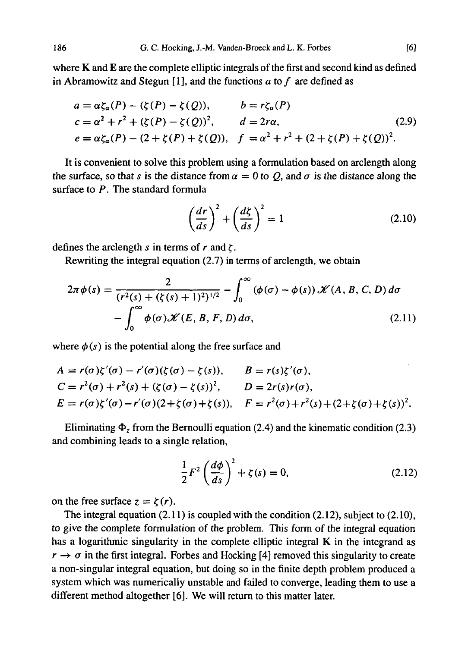where K and E are the complete elliptic integrals of the first and second kind as defined in Abramowitz and Stegun [1], and the functions  $a$  to  $f$  are defined as

$$
a = \alpha \zeta_{\alpha}(P) - (\zeta(P) - \zeta(Q)), \qquad b = r \zeta_{\alpha}(P)
$$
  
\n
$$
c = \alpha^{2} + r^{2} + (\zeta(P) - \zeta(Q))^{2}, \qquad d = 2r\alpha, \qquad (2.9)
$$
  
\n
$$
e = \alpha \zeta_{\alpha}(P) - (2 + \zeta(P) + \zeta(Q)), \qquad f = \alpha^{2} + r^{2} + (2 + \zeta(P) + \zeta(Q))^{2}.
$$

It is convenient to solve this problem using a formulation based on arclength along the surface, so that *s* is the distance from  $\alpha = 0$  to Q, and  $\sigma$  is the distance along the surface to P. The standard formula

$$
\left(\frac{dr}{ds}\right)^2 + \left(\frac{d\zeta}{ds}\right)^2 = 1\tag{2.10}
$$

defines the arclength s in terms of r and  $\zeta$ .

Rewriting the integral equation (2.7) in terms of arclength, we obtain

$$
2\pi \phi(s) = \frac{2}{(r^2(s) + (\zeta(s) + 1)^2)^{1/2}} - \int_0^\infty (\phi(\sigma) - \phi(s)) \mathcal{K}(A, B, C, D) d\sigma - \int_0^\infty \phi(\sigma) \mathcal{K}(E, B, F, D) d\sigma,
$$
 (2.11)

where  $\phi(s)$  is the potential along the free surface and

$$
A = r(\sigma)\zeta'(\sigma) - r'(\sigma)(\zeta(\sigma) - \zeta(s)), \qquad B = r(s)\zeta'(\sigma),
$$
  
\n
$$
C = r^{2}(\sigma) + r^{2}(s) + (\zeta(\sigma) - \zeta(s))^{2}, \qquad D = 2r(s)r(\sigma),
$$
  
\n
$$
E = r(\sigma)\zeta'(\sigma) - r'(\sigma)(2 + \zeta(\sigma) + \zeta(s)), \qquad F = r^{2}(\sigma) + r^{2}(s) + (2 + \zeta(\sigma) + \zeta(s))^{2}.
$$

Eliminating  $\Phi$ <sub>z</sub> from the Bernoulli equation (2.4) and the kinematic condition (2.3) and combining leads to a single relation,

$$
\frac{1}{2}F^2\left(\frac{d\phi}{ds}\right)^2 + \zeta(s) = 0,\tag{2.12}
$$

on the free surface  $z = \zeta(r)$ .

The integral equation (2.11) is coupled with the condition (2.12), subject to (2.10), to give the complete formulation of the problem. This form of the integral equation has a logarithmic singularity in the complete elliptic integral  $K$  in the integrand as  $r \rightarrow \sigma$  in the first integral. Forbes and Hocking [4] removed this singularity to create a non-singular integral equation, but doing so in the finite depth problem produced a system which was numerically unstable and failed to converge, leading them to use a different method altogether [6]. We will return to this matter later.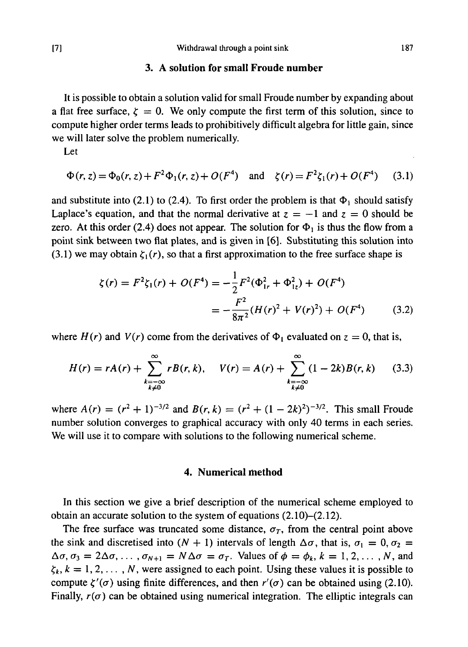### **3. A solution for small Froude number**

It is possible to obtain a solution valid for small Froude number by expanding about a flat free surface,  $\zeta = 0$ . We only compute the first term of this solution, since to compute higher order terms leads to prohibitively difficult algebra for little gain, since we will later solve the problem numerically.

Let

$$
\Phi(r, z) = \Phi_0(r, z) + F^2 \Phi_1(r, z) + O(F^4) \quad \text{and} \quad \zeta(r) = F^2 \zeta_1(r) + O(F^4) \tag{3.1}
$$

and substitute into (2.1) to (2.4). To first order the problem is that  $\Phi_1$  should satisfy Laplace's equation, and that the normal derivative at  $z = -1$  and  $z = 0$  should be zero. At this order (2.4) does not appear. The solution for  $\Phi_1$  is thus the flow from a point sink between two flat plates, and is given in [6]. Substituting this solution into (3.1) we may obtain  $\zeta_1(r)$ , so that a first approximation to the free surface shape is

$$
\zeta(r) = F^2 \zeta_1(r) + O(F^4) = -\frac{1}{2} F^2 (\Phi_{1r}^2 + \Phi_{1z}^2) + O(F^4)
$$
  
= 
$$
-\frac{F^2}{8\pi^2} (H(r)^2 + V(r)^2) + O(F^4)
$$
(3.2)

where  $H(r)$  and  $V(r)$  come from the derivatives of  $\Phi_1$  evaluated on  $z = 0$ , that is,

$$
H(r) = rA(r) + \sum_{\substack{k=-\infty\\k\neq 0}}^{\infty} rB(r, k), \quad V(r) = A(r) + \sum_{\substack{k=-\infty\\k\neq 0}}^{\infty} (1 - 2k)B(r, k) \tag{3.3}
$$

where  $A(r) = (r^2 + 1)^{-3/2}$  and  $B(r, k) = (r^2 + (1 - 2k)^2)^{-3/2}$ . This small Froude number solution converges to graphical accuracy with only 40 terms in each series. We will use it to compare with solutions to the following numerical scheme.

### **4. Numerical method**

In this section we give a brief description of the numerical scheme employed to obtain an accurate solution to the system of equations (2.10)-(2.12).

The free surface was truncated some distance,  $\sigma_T$ , from the central point above the sink and discretised into  $(N + 1)$  intervals of length  $\Delta \sigma$ , that is,  $\sigma_1 = 0$ ,  $\sigma_2 =$  $\Delta \sigma$ ,  $\sigma_3 = 2\Delta \sigma$ , ...,  $\sigma_{N+1} = N \Delta \sigma = \sigma_T$ . Values of  $\phi = \phi_k$ ,  $k = 1, 2, \ldots, N$ , and  $\zeta_k, k = 1, 2, \ldots, N$ , were assigned to each point. Using these values it is possible to compute  $\zeta'(\sigma)$  using finite differences, and then  $r'(\sigma)$  can be obtained using (2.10). Finally,  $r(\sigma)$  can be obtained using numerical integration. The elliptic integrals can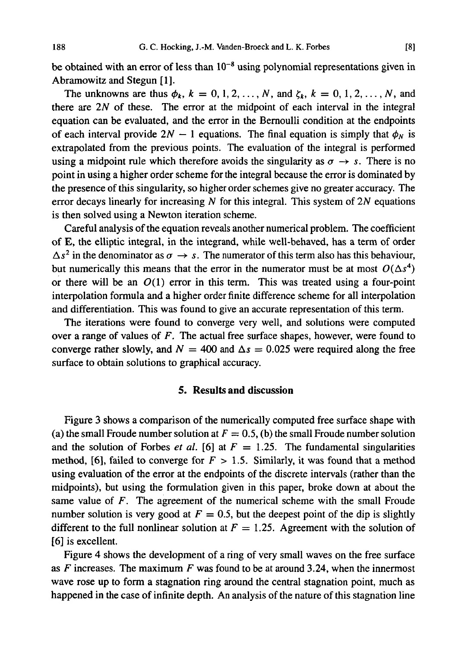be obtained with an error of less than  $10^{-8}$  using polynomial representations given in Abramowitz and Stegun [1].

The unknowns are thus  $\phi_k$ ,  $k = 0, 1, 2, ..., N$ , and  $\zeta_k$ ,  $k = 0, 1, 2, ..., N$ , and there are *2N* of these. The error at the midpoint of each interval in the integral equation can be evaluated, and the error in the Bernoulli condition at the endpoints of each interval provide  $2N - 1$  equations. The final equation is simply that  $\phi_N$  is extrapolated from the previous points. The evaluation of the integral is performed using a midpoint rule which therefore avoids the singularity as  $\sigma \rightarrow s$ . There is no point in using a higher order scheme for the integral because the error is dominated by the presence of this singularity, so higher order schemes give no greater accuracy. The error decays linearly for increasing *N* for this integral. This system of *2N* equations is then solved using a Newton iteration scheme.

Careful analysis of the equation reveals another numerical problem. The coefficient of E, the elliptic integral, in the integrand, while well-behaved, has a term of order  $\Delta s^2$  in the denominator as  $\sigma \to s$ . The numerator of this term also has this behaviour, but numerically this means that the error in the numerator must be at most  $O(\Delta s^4)$ or there will be an  $O(1)$  error in this term. This was treated using a four-point interpolation formula and a higher order finite difference scheme for all interpolation and differentiation. This was found to give an accurate representation of this term.

The iterations were found to converge very well, and solutions were computed over a range of values of *F.* The actual free surface shapes, however, were found to converge rather slowly, and  $N = 400$  and  $\Delta s = 0.025$  were required along the free surface to obtain solutions to graphical accuracy.

### **5. Results and discussion**

Figure 3 shows a comparison of the numerically computed free surface shape with (a) the small Froude number solution at  $F = 0.5$ , (b) the small Froude number solution and the solution of Forbes *et al.* [6] at  $F = 1.25$ . The fundamental singularities method, [6], failed to converge for  $F > 1.5$ . Similarly, it was found that a method using evaluation of the error at the endpoints of the discrete intervals (rather than the midpoints), but using the formulation given in this paper, broke down at about the same value of *F.* The agreement of the numerical scheme with the small Froude number solution is very good at  $F = 0.5$ , but the deepest point of the dip is slightly different to the full nonlinear solution at  $F = 1.25$ . Agreement with the solution of [6] is excellent.

Figure 4 shows the development of a ring of very small waves on the free surface as *F* increases. The maximum *F* was found to be at around 3.24, when the innermost wave rose up to form a stagnation ring around the central stagnation point, much as happened in the case of infinite depth. An analysis of the nature of this stagnation line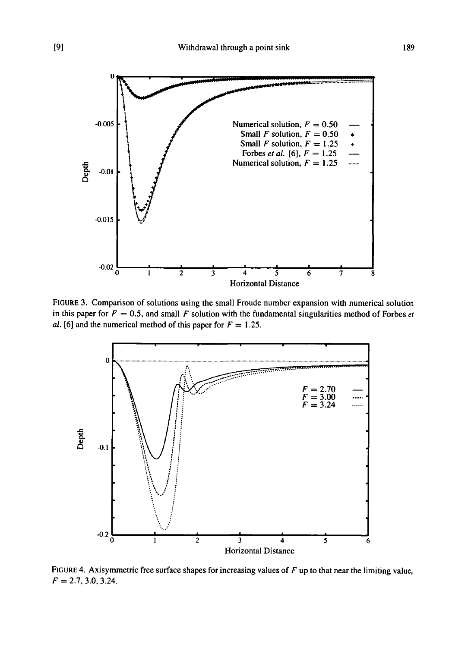

FIGURE 3. Comparison of solutions using the small Froude number expansion with numerical solution in this paper for  $F = 0.5$ , and small F solution with the fundamental singularities method of Forbes et *al.* [6] and the numerical method of this paper for  $F = 1.25$ .



FIGURE 4. Axisymmetric free surface shapes for increasing values of *F* up to that near the limiting value,  $F = 2.7, 3.0, 3.24.$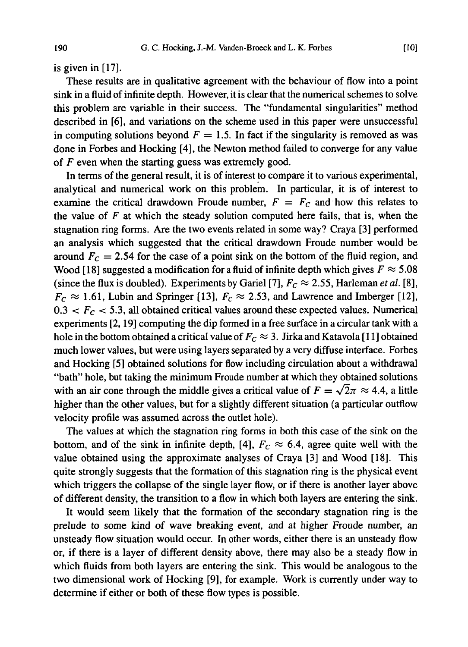is given in [17].

These results are in qualitative agreement with the behaviour of flow into a point sink in a fluid of infinite depth. However, it is clear that the numerical schemes to solve this problem are variable in their success. The "fundamental singularities" method described in [6], and variations on the scheme used in this paper were unsuccessful in computing solutions beyond  $F = 1.5$ . In fact if the singularity is removed as was done in Forbes and Hocking [4], the Newton method failed to converge for any value of *F* even when the starting guess was extremely good.

In terms of the general result, it is of interest to compare it to various experimental, analytical and numerical work on this problem. In particular, it is of interest to examine the critical drawdown Froude number,  $F = F_c$  and how this relates to the value of *F* at which the steady solution computed here fails, that is, when the stagnation ring forms. Are the two events related in some way? Craya [3] performed an analysis which suggested that the critical drawdown Froude number would be around  $F_c = 2.54$  for the case of a point sink on the bottom of the fluid region, and Wood [18] suggested a modification for a fluid of infinite depth which gives  $F \approx 5.08$ (since the flux is doubled). Experiments by Gariel [7],  $F_c \approx 2.55$ , Harleman *et al.* [8],  $F_c \approx 1.61$ , Lubin and Springer [13],  $F_c \approx 2.53$ , and Lawrence and Imberger [12],  $0.3 < F_C < 5.3$ , all obtained critical values around these expected values. Numerical experiments [2,19] computing the dip formed in a free surface in a circular tank with a hole in the bottom obtained a critical value of  $F_c \approx 3$ . Jirka and Katavola [11] obtained much lower values, but were using layers separated by a very diffuse interface. Forbes and Hocking [5] obtained solutions for flow including circulation about a withdrawal "bath" hole, but taking the minimum Froude number at which they obtained solutions with an air cone through the middle gives a critical value of  $F = \sqrt{2}\pi \approx 4.4$ , a little higher than the other values, but for a slightly different situation (a particular outflow velocity profile was assumed across the outlet hole).

The values at which the stagnation ring forms in both this case of the sink on the bottom, and of the sink in infinite depth, [4],  $F_c \approx 6.4$ , agree quite well with the value obtained using the approximate analyses of Craya [3] and Wood [18]. This quite strongly suggests that the formation of this stagnation ring is the physical event which triggers the collapse of the single layer flow, or if there is another layer above of different density, the transition to a flow in which both layers are entering the sink.

It would seem likely that the formation of the secondary stagnation ring is the prelude to some kind of wave breaking event, and at higher Froude number, an unsteady flow situation would occur. In other words, either there is an unsteady flow or, if there is a layer of different density above, there may also be a steady flow in which fluids from both layers are entering the sink. This would be analogous to the two dimensional work of Hocking [9], for example. Work is currently under way to determine if either or both of these flow types is possible.